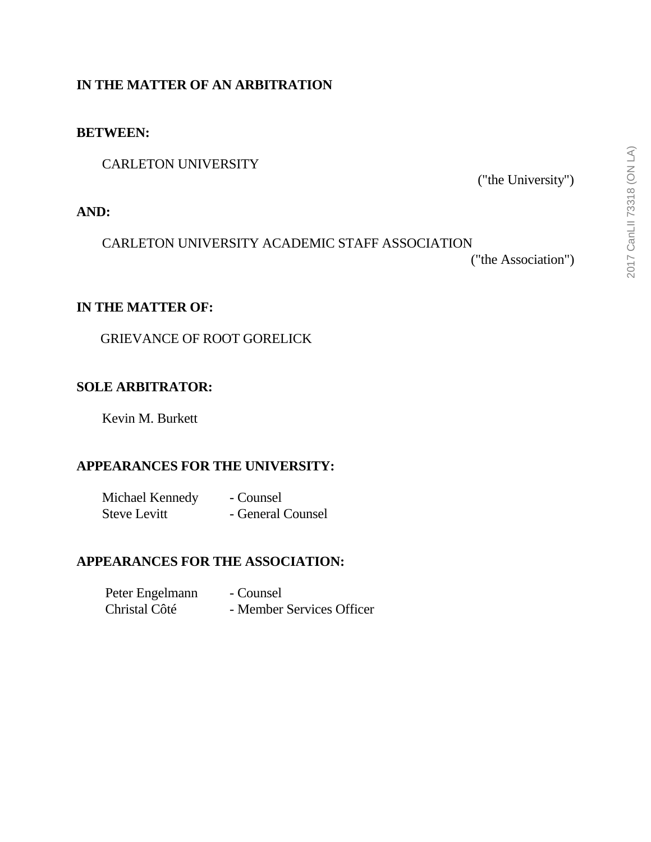# **IN THE MATTER OF AN ARBITRATION**

#### **BETWEEN:**

CARLETON UNIVERSITY

("the University")

**AND:**

CARLETON UNIVERSITY ACADEMIC STAFF ASSOCIATION

("the Association")

### **IN THE MATTER OF:**

GRIEVANCE OF ROOT GORELICK

### **SOLE ARBITRATOR:**

Kevin M. Burkett

## **APPEARANCES FOR THE UNIVERSITY:**

| Michael Kennedy     | - Counsel         |
|---------------------|-------------------|
| <b>Steve Levitt</b> | - General Counsel |

## **APPEARANCES FOR THE ASSOCIATION:**

| Peter Engelmann | - Counsel                 |
|-----------------|---------------------------|
| Christal Côté   | - Member Services Officer |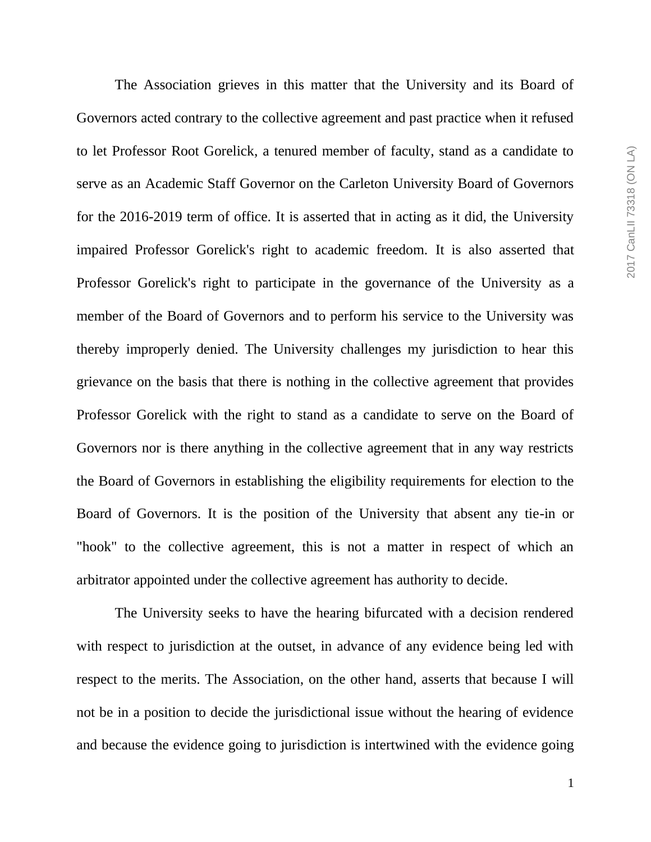The Association grieves in this matter that the University and its Board of Governors acted contrary to the collective agreement and past practice when it refused to let Professor Root Gorelick, a tenured member of faculty, stand as a candidate to serve as an Academic Staff Governor on the Carleton University Board of Governors for the 2016-2019 term of office. It is asserted that in acting as it did, the University impaired Professor Gorelick's right to academic freedom. It is also asserted that Professor Gorelick's right to participate in the governance of the University as a member of the Board of Governors and to perform his service to the University was thereby improperly denied. The University challenges my jurisdiction to hear this grievance on the basis that there is nothing in the collective agreement that provides Professor Gorelick with the right to stand as a candidate to serve on the Board of Governors nor is there anything in the collective agreement that in any way restricts the Board of Governors in establishing the eligibility requirements for election to the Board of Governors. It is the position of the University that absent any tie-in or "hook" to the collective agreement, this is not a matter in respect of which an arbitrator appointed under the collective agreement has authority to decide.

The University seeks to have the hearing bifurcated with a decision rendered with respect to jurisdiction at the outset, in advance of any evidence being led with respect to the merits. The Association, on the other hand, asserts that because I will not be in a position to decide the jurisdictional issue without the hearing of evidence and because the evidence going to jurisdiction is intertwined with the evidence going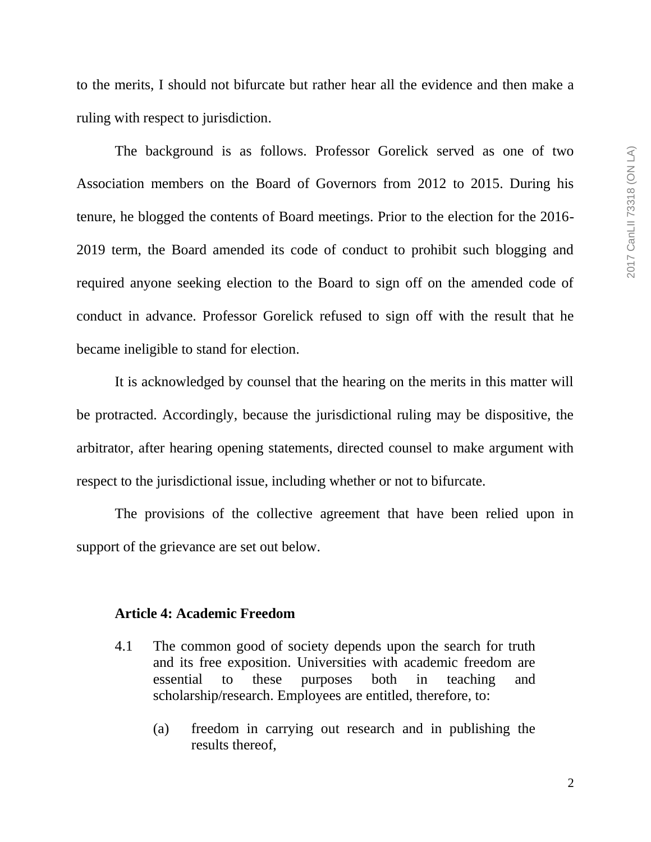to the merits, I should not bifurcate but rather hear all the evidence and then make a ruling with respect to jurisdiction.

The background is as follows. Professor Gorelick served as one of two Association members on the Board of Governors from 2012 to 2015. During his tenure, he blogged the contents of Board meetings. Prior to the election for the 2016- 2019 term, the Board amended its code of conduct to prohibit such blogging and required anyone seeking election to the Board to sign off on the amended code of conduct in advance. Professor Gorelick refused to sign off with the result that he became ineligible to stand for election.

It is acknowledged by counsel that the hearing on the merits in this matter will be protracted. Accordingly, because the jurisdictional ruling may be dispositive, the arbitrator, after hearing opening statements, directed counsel to make argument with respect to the jurisdictional issue, including whether or not to bifurcate.

The provisions of the collective agreement that have been relied upon in support of the grievance are set out below.

#### **Article 4: Academic Freedom**

- 4.1 The common good of society depends upon the search for truth and its free exposition. Universities with academic freedom are essential to these purposes both in teaching and scholarship/research. Employees are entitled, therefore, to:
	- (a) freedom in carrying out research and in publishing the results thereof,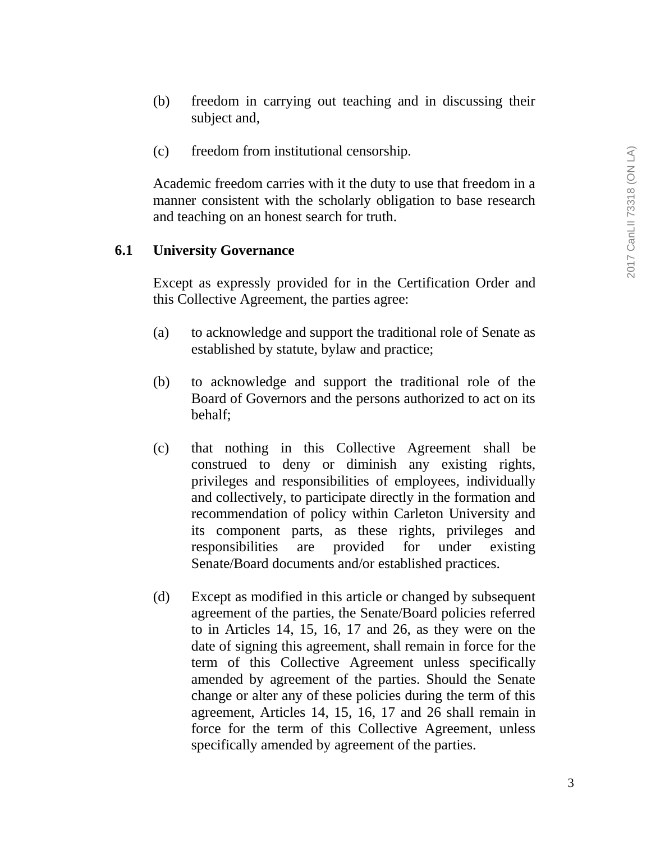- (b) freedom in carrying out teaching and in discussing their subject and,
- (c) freedom from institutional censorship.

Academic freedom carries with it the duty to use that freedom in a manner consistent with the scholarly obligation to base research and teaching on an honest search for truth.

#### **6.1 University Governance**

Except as expressly provided for in the Certification Order and this Collective Agreement, the parties agree:

- (a) to acknowledge and support the traditional role of Senate as established by statute, bylaw and practice;
- (b) to acknowledge and support the traditional role of the Board of Governors and the persons authorized to act on its behalf;
- (c) that nothing in this Collective Agreement shall be construed to deny or diminish any existing rights, privileges and responsibilities of employees, individually and collectively, to participate directly in the formation and recommendation of policy within Carleton University and its component parts, as these rights, privileges and responsibilities are provided for under existing Senate/Board documents and/or established practices.
- (d) Except as modified in this article or changed by subsequent agreement of the parties, the Senate/Board policies referred to in Articles 14, 15, 16, 17 and 26, as they were on the date of signing this agreement, shall remain in force for the term of this Collective Agreement unless specifically amended by agreement of the parties. Should the Senate change or alter any of these policies during the term of this agreement, Articles 14, 15, 16, 17 and 26 shall remain in force for the term of this Collective Agreement, unless specifically amended by agreement of the parties.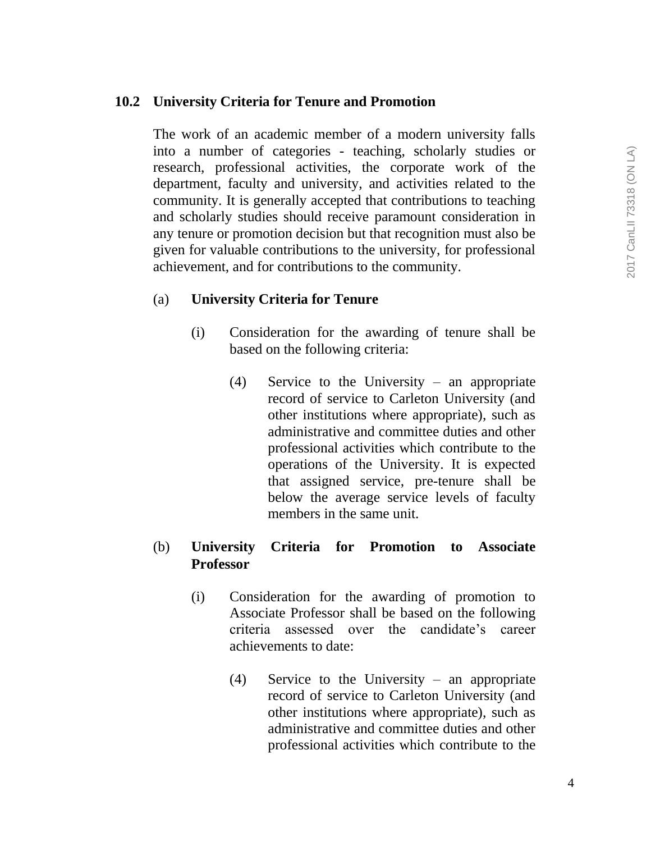### **10.2 University Criteria for Tenure and Promotion**

The work of an academic member of a modern university falls into a number of categories - teaching, scholarly studies or research, professional activities, the corporate work of the department, faculty and university, and activities related to the community. It is generally accepted that contributions to teaching and scholarly studies should receive paramount consideration in any tenure or promotion decision but that recognition must also be given for valuable contributions to the university, for professional achievement, and for contributions to the community.

#### (a) **University Criteria for Tenure**

- (i) Consideration for the awarding of tenure shall be based on the following criteria:
	- (4) Service to the University an appropriate record of service to Carleton University (and other institutions where appropriate), such as administrative and committee duties and other professional activities which contribute to the operations of the University. It is expected that assigned service, pre-tenure shall be below the average service levels of faculty members in the same unit.

### (b) **University Criteria for Promotion to Associate Professor**

- (i) Consideration for the awarding of promotion to Associate Professor shall be based on the following criteria assessed over the candidate's career achievements to date:
	- (4) Service to the University an appropriate record of service to Carleton University (and other institutions where appropriate), such as administrative and committee duties and other professional activities which contribute to the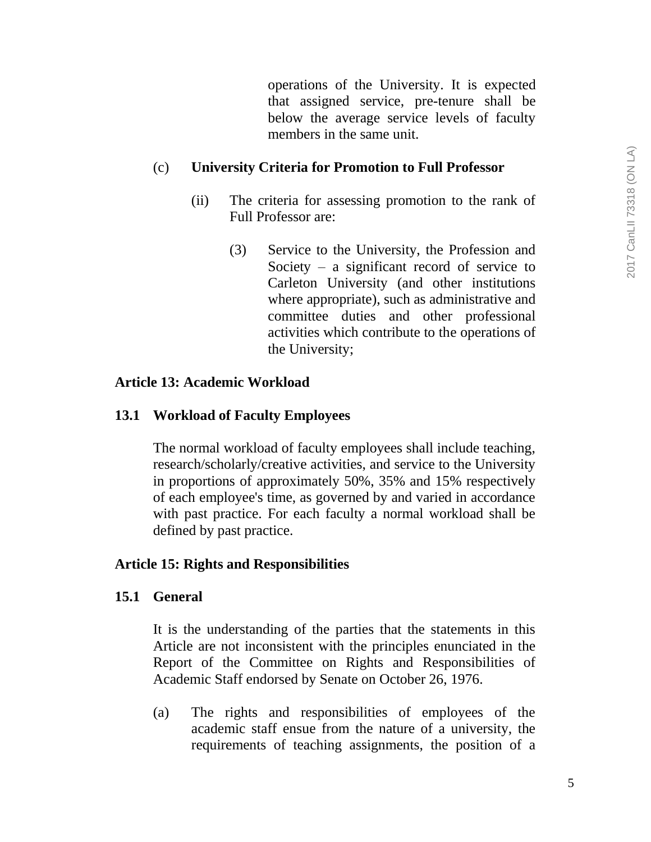operations of the University. It is expected that assigned service, pre-tenure shall be below the average service levels of faculty members in the same unit.

#### (c) **University Criteria for Promotion to Full Professor**

- (ii) The criteria for assessing promotion to the rank of Full Professor are:
	- (3) Service to the University, the Profession and Society – a significant record of service to Carleton University (and other institutions where appropriate), such as administrative and committee duties and other professional activities which contribute to the operations of the University;

#### **Article 13: Academic Workload**

#### **13.1 Workload of Faculty Employees**

The normal workload of faculty employees shall include teaching, research/scholarly/creative activities, and service to the University in proportions of approximately 50%, 35% and 15% respectively of each employee's time, as governed by and varied in accordance with past practice. For each faculty a normal workload shall be defined by past practice.

#### **Article 15: Rights and Responsibilities**

#### **15.1 General**

It is the understanding of the parties that the statements in this Article are not inconsistent with the principles enunciated in the Report of the Committee on Rights and Responsibilities of Academic Staff endorsed by Senate on October 26, 1976.

(a) The rights and responsibilities of employees of the academic staff ensue from the nature of a university, the requirements of teaching assignments, the position of a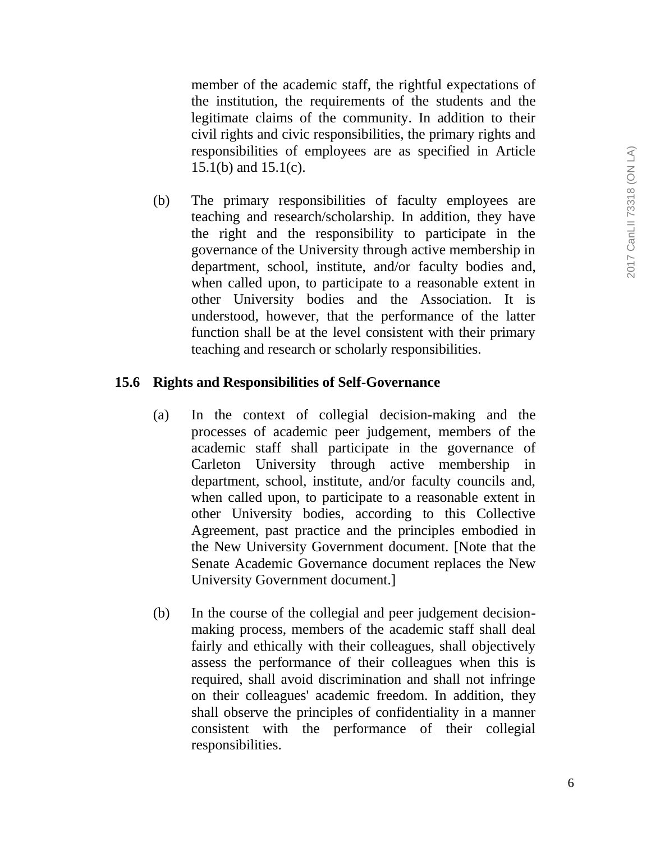member of the academic staff, the rightful expectations of the institution, the requirements of the students and the legitimate claims of the community. In addition to their civil rights and civic responsibilities, the primary rights and responsibilities of employees are as specified in Article 15.1(b) and 15.1(c).

(b) The primary responsibilities of faculty employees are teaching and research/scholarship. In addition, they have the right and the responsibility to participate in the governance of the University through active membership in department, school, institute, and/or faculty bodies and, when called upon, to participate to a reasonable extent in other University bodies and the Association. It is understood, however, that the performance of the latter function shall be at the level consistent with their primary teaching and research or scholarly responsibilities.

#### **15.6 Rights and Responsibilities of Self-Governance**

- (a) In the context of collegial decision-making and the processes of academic peer judgement, members of the academic staff shall participate in the governance of Carleton University through active membership in department, school, institute, and/or faculty councils and, when called upon, to participate to a reasonable extent in other University bodies, according to this Collective Agreement, past practice and the principles embodied in the New University Government document. [Note that the Senate Academic Governance document replaces the New University Government document.]
- (b) In the course of the collegial and peer judgement decisionmaking process, members of the academic staff shall deal fairly and ethically with their colleagues, shall objectively assess the performance of their colleagues when this is required, shall avoid discrimination and shall not infringe on their colleagues' academic freedom. In addition, they shall observe the principles of confidentiality in a manner consistent with the performance of their collegial responsibilities.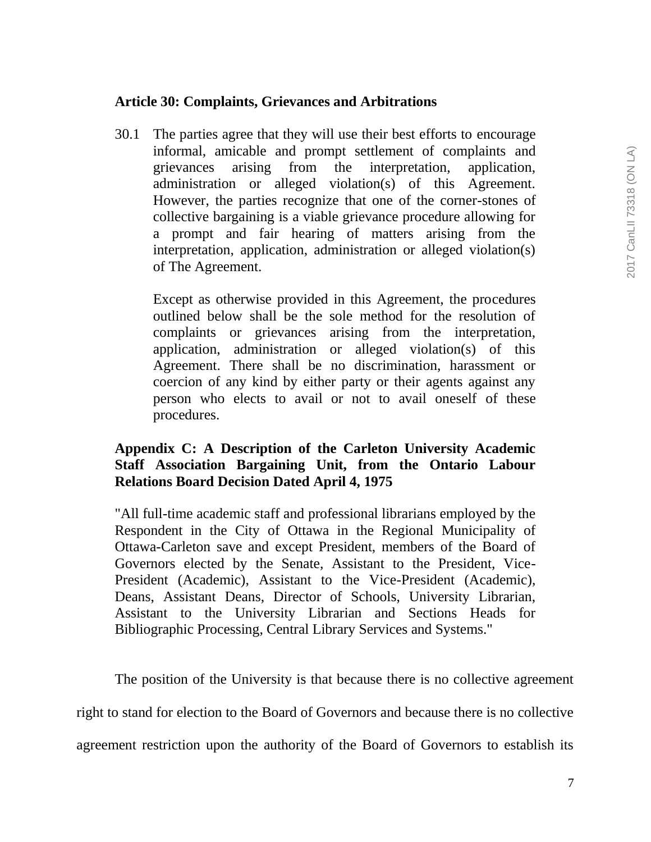### **Article 30: Complaints, Grievances and Arbitrations**

30.1 The parties agree that they will use their best efforts to encourage informal, amicable and prompt settlement of complaints and grievances arising from the interpretation, application, administration or alleged violation(s) of this Agreement. However, the parties recognize that one of the corner-stones of collective bargaining is a viable grievance procedure allowing for a prompt and fair hearing of matters arising from the interpretation, application, administration or alleged violation(s) of The Agreement.

Except as otherwise provided in this Agreement, the procedures outlined below shall be the sole method for the resolution of complaints or grievances arising from the interpretation, application, administration or alleged violation(s) of this Agreement. There shall be no discrimination, harassment or coercion of any kind by either party or their agents against any person who elects to avail or not to avail oneself of these procedures.

## **Appendix C: A Description of the Carleton University Academic Staff Association Bargaining Unit, from the Ontario Labour Relations Board Decision Dated April 4, 1975**

"All full-time academic staff and professional librarians employed by the Respondent in the City of Ottawa in the Regional Municipality of Ottawa-Carleton save and except President, members of the Board of Governors elected by the Senate, Assistant to the President, Vice-President (Academic), Assistant to the Vice-President (Academic), Deans, Assistant Deans, Director of Schools, University Librarian, Assistant to the University Librarian and Sections Heads for Bibliographic Processing, Central Library Services and Systems."

The position of the University is that because there is no collective agreement

right to stand for election to the Board of Governors and because there is no collective

agreement restriction upon the authority of the Board of Governors to establish its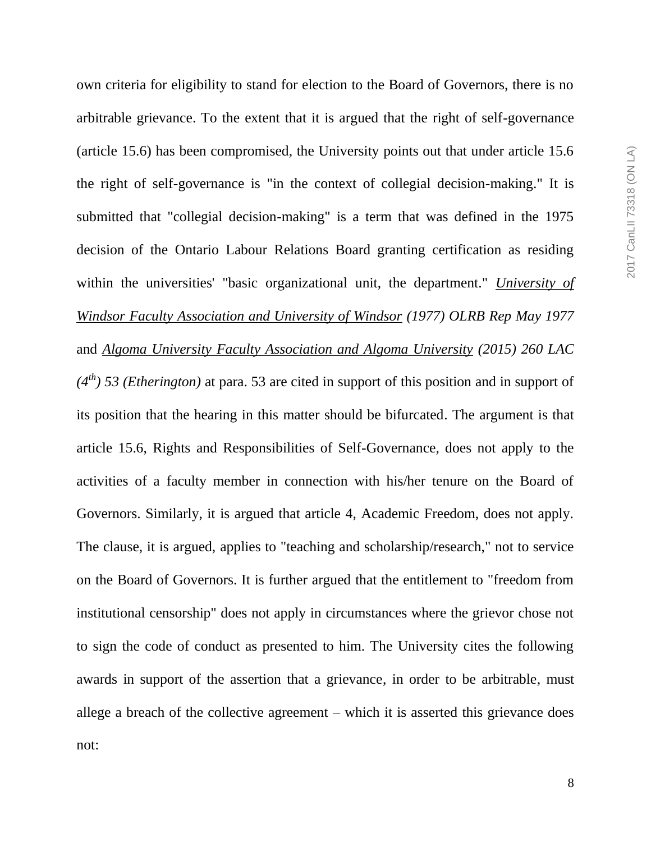own criteria for eligibility to stand for election to the Board of Governors, there is no arbitrable grievance. To the extent that it is argued that the right of self-governance (article 15.6) has been compromised, the University points out that under article 15.6 the right of self-governance is "in the context of collegial decision-making." It is submitted that "collegial decision-making" is a term that was defined in the 1975 decision of the Ontario Labour Relations Board granting certification as residing within the universities' "basic organizational unit, the department." *University of Windsor Faculty Association and University of Windsor (1977) OLRB Rep May 1977* and *Algoma University Faculty Association and Algoma University (2015) 260 LAC (4th) 53 (Etherington)* at para. 53 are cited in support of this position and in support of its position that the hearing in this matter should be bifurcated. The argument is that article 15.6, Rights and Responsibilities of Self-Governance, does not apply to the activities of a faculty member in connection with his/her tenure on the Board of Governors. Similarly, it is argued that article 4, Academic Freedom, does not apply. The clause, it is argued, applies to "teaching and scholarship/research," not to service on the Board of Governors. It is further argued that the entitlement to "freedom from institutional censorship" does not apply in circumstances where the grievor chose not to sign the code of conduct as presented to him. The University cites the following awards in support of the assertion that a grievance, in order to be arbitrable, must allege a breach of the collective agreement – which it is asserted this grievance does not: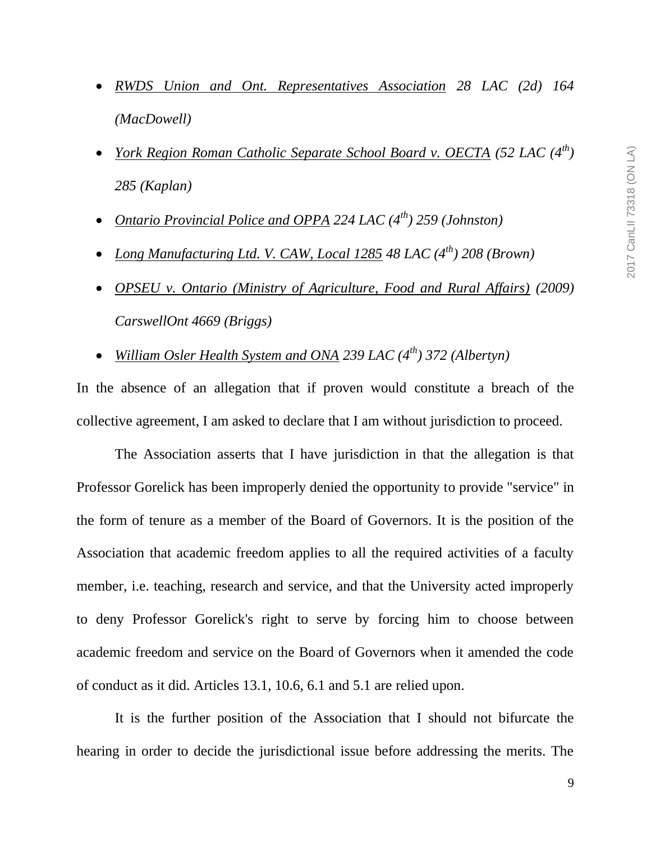- *RWDS Union and Ont. Representatives Association 28 LAC (2d) 164 (MacDowell)*
- *York Region Roman Catholic Separate School Board v. OECTA (52 LAC (4th) 285 (Kaplan)*
- *Ontario Provincial Police and OPPA 224 LAC (4th) 259 (Johnston)*
- *Long Manufacturing Ltd. V. CAW, Local 1285 48 LAC (4th) 208 (Brown)*
- *OPSEU v. Ontario (Ministry of Agriculture, Food and Rural Affairs) (2009) CarswellOnt 4669 (Briggs)*
- *William Osler Health System and ONA 239 LAC (4th) 372 (Albertyn)*

In the absence of an allegation that if proven would constitute a breach of the collective agreement, I am asked to declare that I am without jurisdiction to proceed.

The Association asserts that I have jurisdiction in that the allegation is that Professor Gorelick has been improperly denied the opportunity to provide "service" in the form of tenure as a member of the Board of Governors. It is the position of the Association that academic freedom applies to all the required activities of a faculty member, i.e. teaching, research and service, and that the University acted improperly to deny Professor Gorelick's right to serve by forcing him to choose between academic freedom and service on the Board of Governors when it amended the code of conduct as it did. Articles 13.1, 10.6, 6.1 and 5.1 are relied upon.

It is the further position of the Association that I should not bifurcate the hearing in order to decide the jurisdictional issue before addressing the merits. The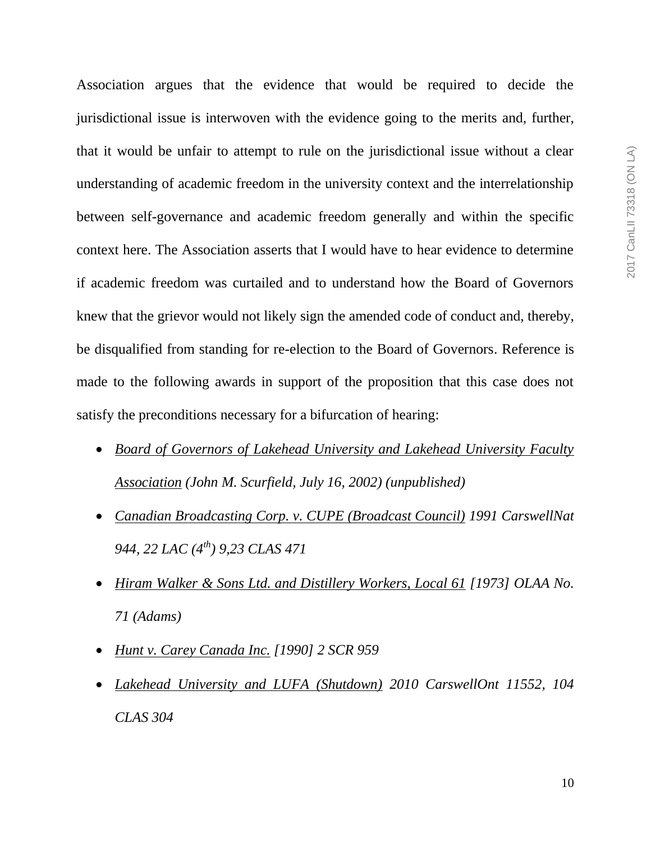Association argues that the evidence that would be required to decide the jurisdictional issue is interwoven with the evidence going to the merits and, further, that it would be unfair to attempt to rule on the jurisdictional issue without a clear understanding of academic freedom in the university context and the interrelationship between self-governance and academic freedom generally and within the specific context here. The Association asserts that I would have to hear evidence to determine if academic freedom was curtailed and to understand how the Board of Governors knew that the grievor would not likely sign the amended code of conduct and, thereby, be disqualified from standing for re-election to the Board of Governors. Reference is made to the following awards in support of the proposition that this case does not satisfy the preconditions necessary for a bifurcation of hearing:

- *Board of Governors of Lakehead University and Lakehead University Faculty Association (John M. Scurfield, July 16, 2002) (unpublished)*
- *Canadian Broadcasting Corp. v. CUPE (Broadcast Council) 1991 CarswellNat 944, 22 LAC (4th) 9,23 CLAS 471*
- *Hiram Walker & Sons Ltd. and Distillery Workers, Local 61 [1973] OLAA No. 71 (Adams)*
- *Hunt v. Carey Canada Inc. [1990] 2 SCR 959*
- *Lakehead University and LUFA (Shutdown) 2010 CarswellOnt 11552, 104 CLAS 304*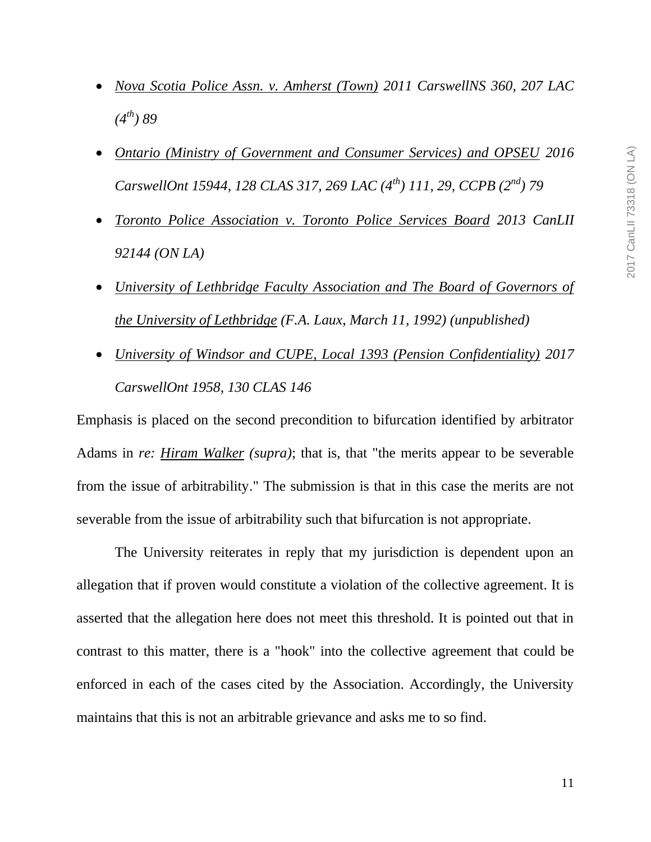- *Nova Scotia Police Assn. v. Amherst (Town) 2011 CarswellNS 360, 207 LAC (4th) 89*
- *Ontario (Ministry of Government and Consumer Services) and OPSEU 2016 CarswellOnt 15944, 128 CLAS 317, 269 LAC (4th) 111, 29, CCPB (2nd) 79*
- *Toronto Police Association v. Toronto Police Services Board 2013 CanLII 92144 (ON LA)*
- *University of Lethbridge Faculty Association and The Board of Governors of the University of Lethbridge (F.A. Laux, March 11, 1992) (unpublished)*
- *University of Windsor and CUPE, Local 1393 (Pension Confidentiality) 2017 CarswellOnt 1958, 130 CLAS 146*

Emphasis is placed on the second precondition to bifurcation identified by arbitrator Adams in *re: Hiram Walker (supra)*; that is, that "the merits appear to be severable from the issue of arbitrability." The submission is that in this case the merits are not severable from the issue of arbitrability such that bifurcation is not appropriate.

The University reiterates in reply that my jurisdiction is dependent upon an allegation that if proven would constitute a violation of the collective agreement. It is asserted that the allegation here does not meet this threshold. It is pointed out that in contrast to this matter, there is a "hook" into the collective agreement that could be enforced in each of the cases cited by the Association. Accordingly, the University maintains that this is not an arbitrable grievance and asks me to so find.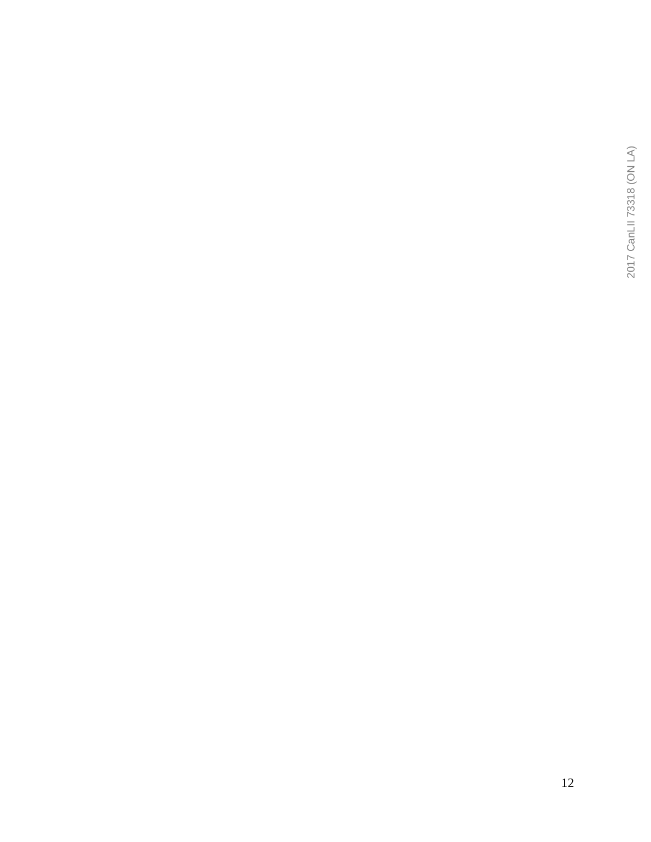2017 CanLII 73318 (ON LA) 2017 CanLII 73318 (ON LA)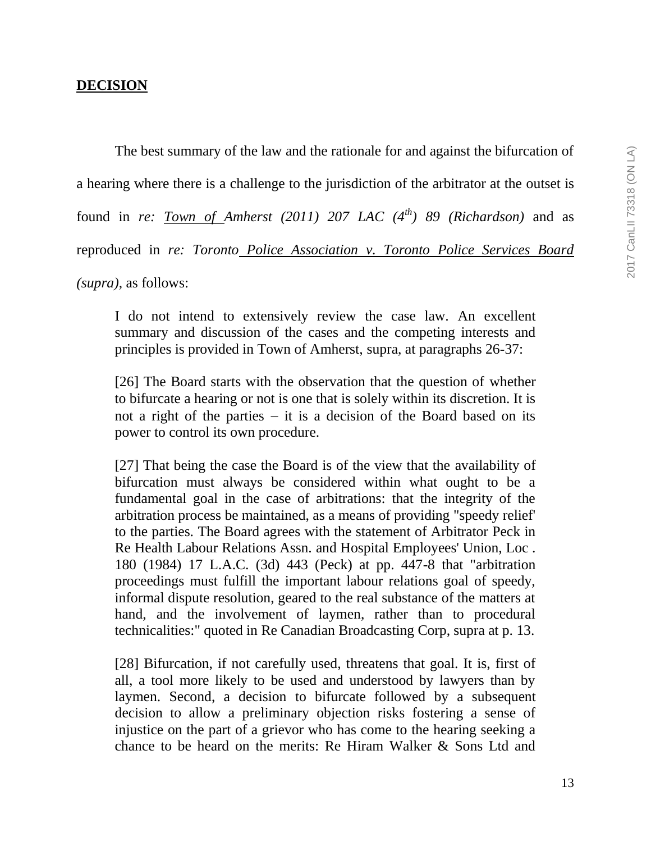#### **DECISION**

The best summary of the law and the rationale for and against the bifurcation of a hearing where there is a challenge to the jurisdiction of the arbitrator at the outset is found in *re: Town of Amherst (2011) 207 LAC (4th) 89 (Richardson)* and as reproduced in *re: Toronto Police Association v. Toronto Police Services Board*

*(supra)*, as follows:

I do not intend to extensively review the case law. An excellent summary and discussion of the cases and the competing interests and principles is provided in Town of Amherst, supra, at paragraphs 26-37:

[26] The Board starts with the observation that the question of whether to bifurcate a hearing or not is one that is solely within its discretion. It is not a right of the parties  $-$  it is a decision of the Board based on its power to control its own procedure.

[27] That being the case the Board is of the view that the availability of bifurcation must always be considered within what ought to be a fundamental goal in the case of arbitrations: that the integrity of the arbitration process be maintained, as a means of providing "speedy relief' to the parties. The Board agrees with the statement of Arbitrator Peck in Re Health Labour Relations Assn. and Hospital Employees' Union, Loc . 180 (1984) 17 L.A.C. (3d) 443 (Peck) at pp. 447-8 that "arbitration proceedings must fulfill the important labour relations goal of speedy, informal dispute resolution, geared to the real substance of the matters at hand, and the involvement of laymen, rather than to procedural technicalities:" quoted in Re Canadian Broadcasting Corp, supra at p. 13.

[28] Bifurcation, if not carefully used, threatens that goal. It is, first of all, a tool more likely to be used and understood by lawyers than by laymen. Second, a decision to bifurcate followed by a subsequent decision to allow a preliminary objection risks fostering a sense of injustice on the part of a grievor who has come to the hearing seeking a chance to be heard on the merits: Re Hiram Walker & Sons Ltd and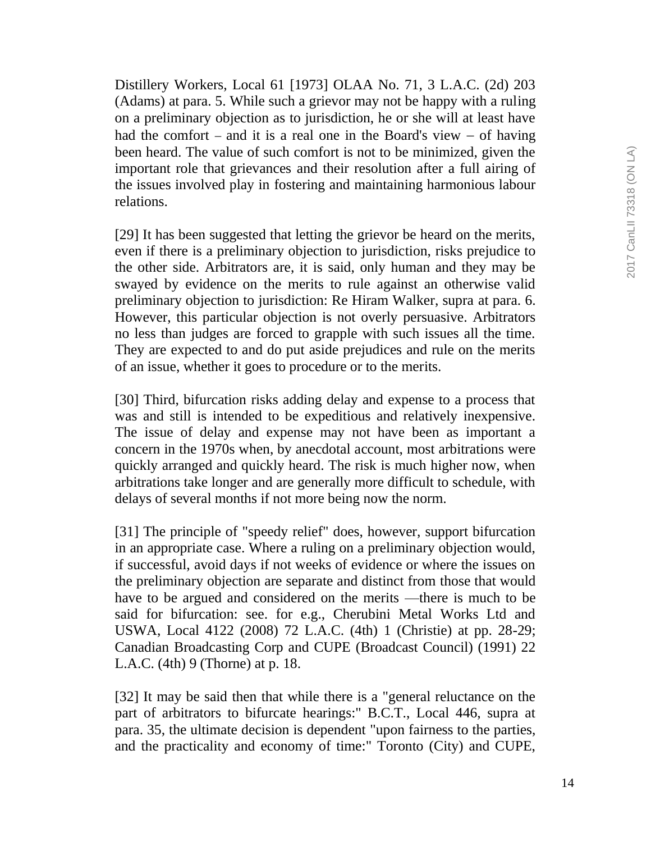Distillery Workers, Local 61 [1973] OLAA No. 71, 3 L.A.C. (2d) 203 (Adams) at para. 5. While such a grievor may not be happy with a ruling on a preliminary objection as to jurisdiction, he or she will at least have had the comfort  $-$  and it is a real one in the Board's view  $-$  of having been heard. The value of such comfort is not to be minimized, given the important role that grievances and their resolution after a full airing of the issues involved play in fostering and maintaining harmonious labour relations.

[29] It has been suggested that letting the grievor be heard on the merits, even if there is a preliminary objection to jurisdiction, risks prejudice to the other side. Arbitrators are, it is said, only human and they may be swayed by evidence on the merits to rule against an otherwise valid preliminary objection to jurisdiction: Re Hiram Walker, supra at para. 6. However, this particular objection is not overly persuasive. Arbitrators no less than judges are forced to grapple with such issues all the time. They are expected to and do put aside prejudices and rule on the merits of an issue, whether it goes to procedure or to the merits.

[30] Third, bifurcation risks adding delay and expense to a process that was and still is intended to be expeditious and relatively inexpensive. The issue of delay and expense may not have been as important a concern in the 1970s when, by anecdotal account, most arbitrations were quickly arranged and quickly heard. The risk is much higher now, when arbitrations take longer and are generally more difficult to schedule, with delays of several months if not more being now the norm.

[31] The principle of "speedy relief" does, however, support bifurcation in an appropriate case. Where a ruling on a preliminary objection would, if successful, avoid days if not weeks of evidence or where the issues on the preliminary objection are separate and distinct from those that would have to be argued and considered on the merits —there is much to be said for bifurcation: see. for e.g., Cherubini Metal Works Ltd and USWA, Local 4122 (2008) 72 L.A.C. (4th) 1 (Christie) at pp. 28-29; Canadian Broadcasting Corp and CUPE (Broadcast Council) (1991) 22 L.A.C. (4th) 9 (Thorne) at p. 18.

[32] It may be said then that while there is a "general reluctance on the part of arbitrators to bifurcate hearings:" B.C.T., Local 446, supra at para. 35, the ultimate decision is dependent "upon fairness to the parties, and the practicality and economy of time:" Toronto (City) and CUPE,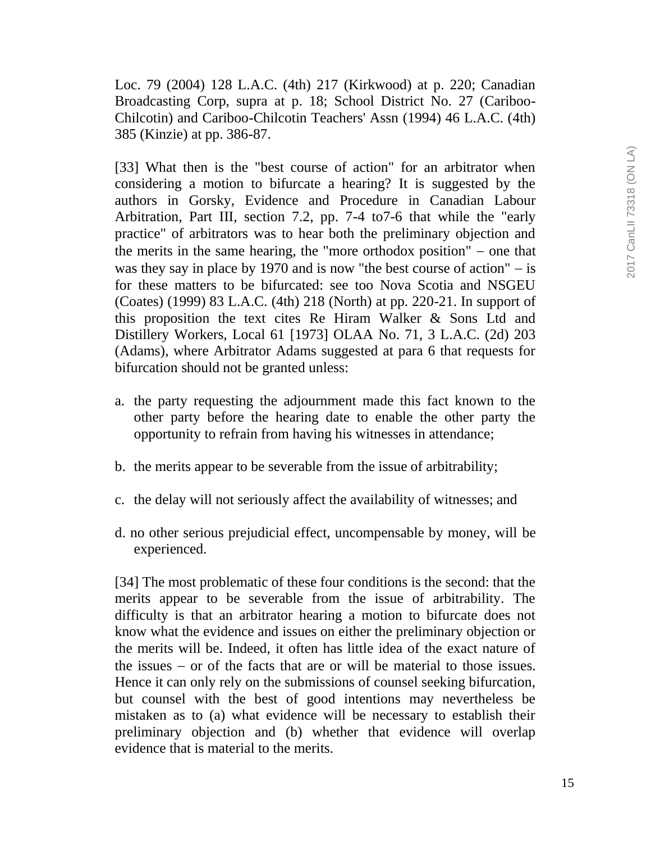Loc. 79 (2004) 128 L.A.C. (4th) 217 (Kirkwood) at p. 220; Canadian Broadcasting Corp, supra at p. 18; School District No. 27 (Cariboo-Chilcotin) and Cariboo-Chilcotin Teachers' Assn (1994) 46 L.A.C. (4th) 385 (Kinzie) at pp. 386-87.

[33] What then is the "best course of action" for an arbitrator when considering a motion to bifurcate a hearing? It is suggested by the authors in Gorsky, Evidence and Procedure in Canadian Labour Arbitration, Part III, section 7.2, pp. 7-4 to7-6 that while the "early practice" of arbitrators was to hear both the preliminary objection and the merits in the same hearing, the "more orthodox position"  $-$  one that was they say in place by 1970 and is now "the best course of action"  $-$  is for these matters to be bifurcated: see too Nova Scotia and NSGEU (Coates) (1999) 83 L.A.C. (4th) 218 (North) at pp. 220-21. In support of this proposition the text cites Re Hiram Walker & Sons Ltd and Distillery Workers, Local 61 [1973] OLAA No. 71, 3 L.A.C. (2d) 203 (Adams), where Arbitrator Adams suggested at para 6 that requests for bifurcation should not be granted unless:

- a. the party requesting the adjournment made this fact known to the other party before the hearing date to enable the other party the opportunity to refrain from having his witnesses in attendance;
- b. the merits appear to be severable from the issue of arbitrability;
- c. the delay will not seriously affect the availability of witnesses; and
- d. no other serious prejudicial effect, uncompensable by money, will be experienced.

[34] The most problematic of these four conditions is the second: that the merits appear to be severable from the issue of arbitrability. The difficulty is that an arbitrator hearing a motion to bifurcate does not know what the evidence and issues on either the preliminary objection or the merits will be. Indeed, it often has little idea of the exact nature of the issues  $-$  or of the facts that are or will be material to those issues. Hence it can only rely on the submissions of counsel seeking bifurcation, but counsel with the best of good intentions may nevertheless be mistaken as to (a) what evidence will be necessary to establish their preliminary objection and (b) whether that evidence will overlap evidence that is material to the merits.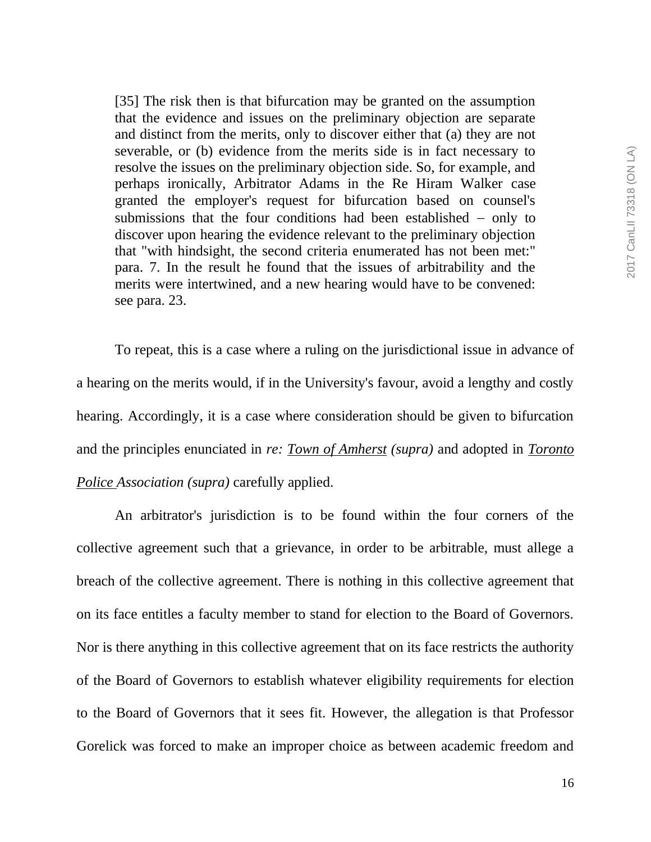[35] The risk then is that bifurcation may be granted on the assumption that the evidence and issues on the preliminary objection are separate and distinct from the merits, only to discover either that (a) they are not severable, or (b) evidence from the merits side is in fact necessary to resolve the issues on the preliminary objection side. So, for example, and perhaps ironically, Arbitrator Adams in the Re Hiram Walker case granted the employer's request for bifurcation based on counsel's submissions that the four conditions had been established  $-$  only to discover upon hearing the evidence relevant to the preliminary objection that "with hindsight, the second criteria enumerated has not been met:" para. 7. In the result he found that the issues of arbitrability and the merits were intertwined, and a new hearing would have to be convened: see para. 23.

To repeat, this is a case where a ruling on the jurisdictional issue in advance of a hearing on the merits would, if in the University's favour, avoid a lengthy and costly hearing. Accordingly, it is a case where consideration should be given to bifurcation and the principles enunciated in *re: Town of Amherst (supra)* and adopted in *Toronto Police Association (supra)* carefully applied.

An arbitrator's jurisdiction is to be found within the four corners of the collective agreement such that a grievance, in order to be arbitrable, must allege a breach of the collective agreement. There is nothing in this collective agreement that on its face entitles a faculty member to stand for election to the Board of Governors. Nor is there anything in this collective agreement that on its face restricts the authority of the Board of Governors to establish whatever eligibility requirements for election to the Board of Governors that it sees fit. However, the allegation is that Professor Gorelick was forced to make an improper choice as between academic freedom and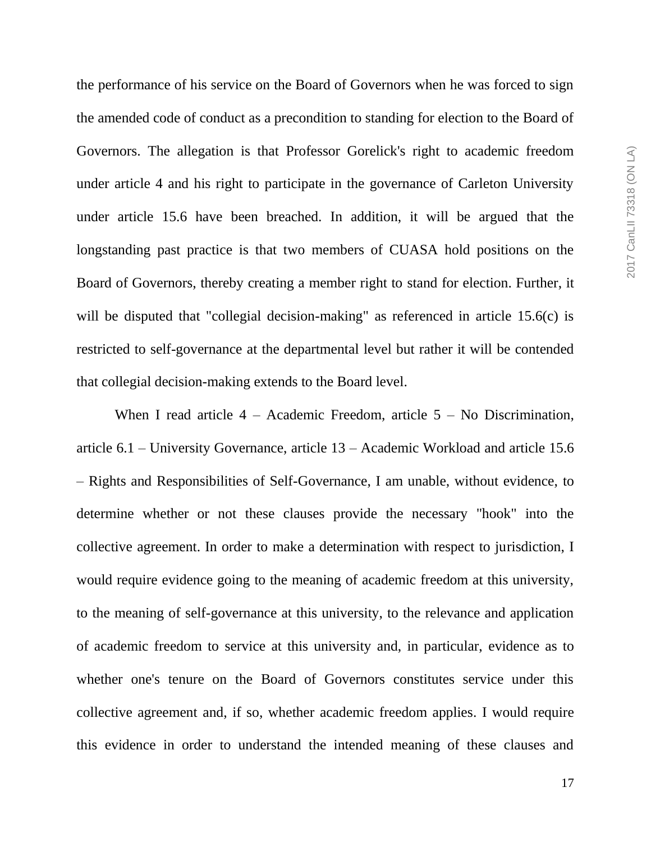the performance of his service on the Board of Governors when he was forced to sign the amended code of conduct as a precondition to standing for election to the Board of Governors. The allegation is that Professor Gorelick's right to academic freedom under article 4 and his right to participate in the governance of Carleton University under article 15.6 have been breached. In addition, it will be argued that the longstanding past practice is that two members of CUASA hold positions on the Board of Governors, thereby creating a member right to stand for election. Further, it will be disputed that "collegial decision-making" as referenced in article 15.6(c) is restricted to self-governance at the departmental level but rather it will be contended that collegial decision-making extends to the Board level.

When I read article  $4 -$  Academic Freedom, article  $5 -$  No Discrimination, article 6.1 – University Governance, article 13 – Academic Workload and article 15.6 – Rights and Responsibilities of Self-Governance, I am unable, without evidence, to determine whether or not these clauses provide the necessary "hook" into the collective agreement. In order to make a determination with respect to jurisdiction, I would require evidence going to the meaning of academic freedom at this university, to the meaning of self-governance at this university, to the relevance and application of academic freedom to service at this university and, in particular, evidence as to whether one's tenure on the Board of Governors constitutes service under this collective agreement and, if so, whether academic freedom applies. I would require this evidence in order to understand the intended meaning of these clauses and